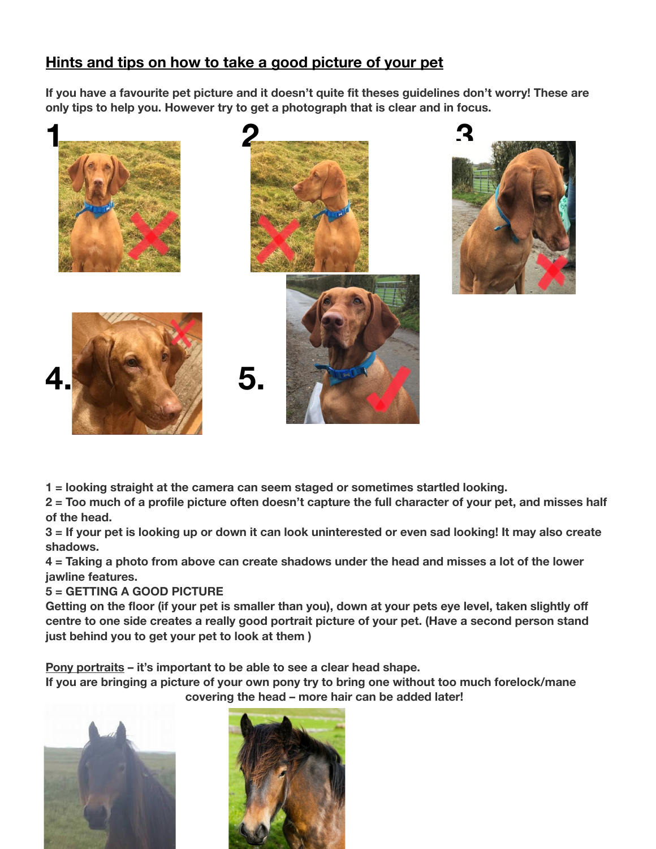## **Hints and tips on how to take a good picture of your pet**

If you have a favourite pet picture and it doesn't quite fit theses guidelines don't worry! These are **only tips to help you. However try to get a photograph that is clear and in focus.**



**1 = looking straight at the camera can seem staged or sometimes startled looking.**

2 = Too much of a profile picture often doesn't capture the full character of your pet, and misses half **of the head.**

3 = If your pet is looking up or down it can look uninterested or even sad looking! It may also create **shadows.**

4 = Taking a photo from above can create shadows under the head and misses a lot of the lower **jawline features.**

## **5 = GETTING A GOOD PICTURE**

Getting on the floor (if your pet is smaller than you), down at your pets eye level, taken slightly off **centre to one side creates a really good portrait picture of your pet. (Have a second person stand just behind you to get your pet to look at them )**

**Pony portraits – it's important to be able to see a clear head shape.**

**If you are bringing a picture of your own pony try to bring one without too much forelock/mane covering the head – more hair can be added later!**